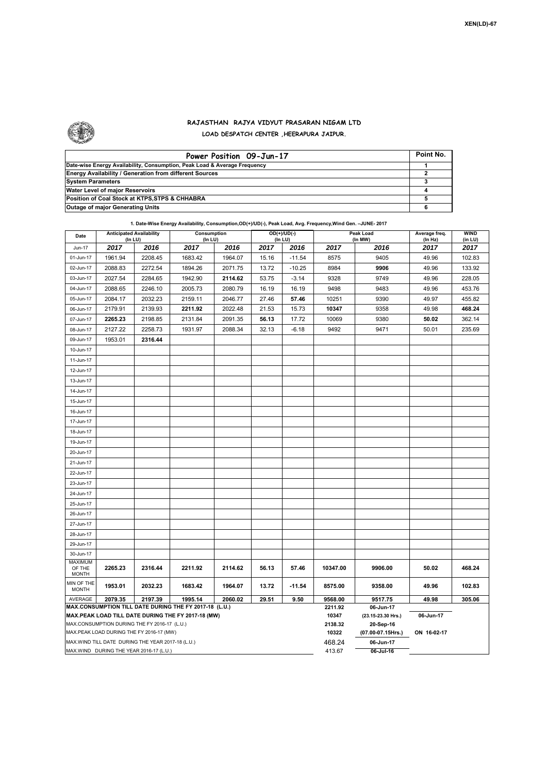

## **RAJASTHAN RAJYA VIDYUT PRASARAN NIGAM LTD LOAD DESPATCH CENTER ,HEERAPURA JAIPUR.**

| Power Position 09-Jun-17                                                  | Point No. |
|---------------------------------------------------------------------------|-----------|
| Date-wise Energy Availability, Consumption, Peak Load & Average Frequency |           |
| <b>Energy Availability / Generation from different Sources</b>            |           |
| <b>System Parameters</b>                                                  |           |
| Water Level of major Reservoirs                                           |           |
| Position of Coal Stock at KTPS, STPS & CHHABRA                            |           |
| <b>Outage of major Generating Units</b>                                   |           |

## **1. Date-Wise Energy Availability, Consumption,OD(+)/UD(-), Peak Load, Avg. Frequency,Wind Gen. –JUNE- 2017**

| Date                                                                                               | <b>Anticipated Availability</b><br>(In LU) |         | Consumption<br>(In LU) |         | OD(+)/UD(-)<br>(In LU) |          |                    | Peak Load<br>(In MW)           | Average freq.<br>(In Hz) |                 |  |  |  |
|----------------------------------------------------------------------------------------------------|--------------------------------------------|---------|------------------------|---------|------------------------|----------|--------------------|--------------------------------|--------------------------|-----------------|--|--|--|
| Jun-17                                                                                             | 2017                                       | 2016    | 2017<br>2016           |         | 2017                   | 2016     | 2017               | 2016                           | 2017                     | (in LU)<br>2017 |  |  |  |
| 01-Jun-17                                                                                          | 1961.94                                    | 2208.45 | 1683.42                | 1964.07 | 15.16                  | $-11.54$ | 8575               | 9405                           | 49.96                    | 102.83          |  |  |  |
| 02-Jun-17                                                                                          | 2088.83                                    | 2272.54 | 1894.26                | 2071.75 | 13.72                  | $-10.25$ | 8984               | 9906                           | 49.96                    | 133.92          |  |  |  |
| 03-Jun-17                                                                                          | 2027.54                                    | 2284.65 | 1942.90                | 2114.62 | 53.75                  | $-3.14$  | 9328               | 9749                           | 49.96                    | 228.05          |  |  |  |
| 04-Jun-17                                                                                          | 2088.65                                    | 2246.10 | 2005.73                | 2080.79 | 16.19                  | 16.19    | 9498               | 9483                           | 49.96                    | 453.76          |  |  |  |
| 05-Jun-17                                                                                          | 2084.17                                    | 2032.23 | 2159.11                | 2046.77 | 27.46                  | 57.46    | 10251              | 9390                           | 49.97                    | 455.82          |  |  |  |
| 06-Jun-17                                                                                          | 2179.91                                    | 2139.93 | 2211.92                | 2022.48 | 21.53                  | 15.73    | 10347              | 9358                           | 49.98                    | 468.24          |  |  |  |
| 07-Jun-17                                                                                          | 2265.23                                    | 2198.85 | 2131.84                | 2091.35 | 56.13                  | 17.72    | 10069              | 9380                           | 50.02                    | 362.14          |  |  |  |
| 08-Jun-17                                                                                          | 2127.22                                    | 2258.73 | 1931.97                | 2088.34 | 32.13                  | $-6.18$  | 9492               | 9471                           | 50.01                    | 235.69          |  |  |  |
| 09-Jun-17                                                                                          | 1953.01                                    | 2316.44 |                        |         |                        |          |                    |                                |                          |                 |  |  |  |
| 10-Jun-17                                                                                          |                                            |         |                        |         |                        |          |                    |                                |                          |                 |  |  |  |
| 11-Jun-17                                                                                          |                                            |         |                        |         |                        |          |                    |                                |                          |                 |  |  |  |
| 12-Jun-17                                                                                          |                                            |         |                        |         |                        |          |                    |                                |                          |                 |  |  |  |
| 13-Jun-17                                                                                          |                                            |         |                        |         |                        |          |                    |                                |                          |                 |  |  |  |
| 14-Jun-17                                                                                          |                                            |         |                        |         |                        |          |                    |                                |                          |                 |  |  |  |
| 15-Jun-17                                                                                          |                                            |         |                        |         |                        |          |                    |                                |                          |                 |  |  |  |
| 16-Jun-17                                                                                          |                                            |         |                        |         |                        |          |                    |                                |                          |                 |  |  |  |
| 17-Jun-17                                                                                          |                                            |         |                        |         |                        |          |                    |                                |                          |                 |  |  |  |
| 18-Jun-17                                                                                          |                                            |         |                        |         |                        |          |                    |                                |                          |                 |  |  |  |
| 19-Jun-17                                                                                          |                                            |         |                        |         |                        |          |                    |                                |                          |                 |  |  |  |
| 20-Jun-17                                                                                          |                                            |         |                        |         |                        |          |                    |                                |                          |                 |  |  |  |
| 21-Jun-17                                                                                          |                                            |         |                        |         |                        |          |                    |                                |                          |                 |  |  |  |
| 22-Jun-17                                                                                          |                                            |         |                        |         |                        |          |                    |                                |                          |                 |  |  |  |
| 23-Jun-17                                                                                          |                                            |         |                        |         |                        |          |                    |                                |                          |                 |  |  |  |
| 24-Jun-17                                                                                          |                                            |         |                        |         |                        |          |                    |                                |                          |                 |  |  |  |
| 25-Jun-17                                                                                          |                                            |         |                        |         |                        |          |                    |                                |                          |                 |  |  |  |
| 26-Jun-17                                                                                          |                                            |         |                        |         |                        |          |                    |                                |                          |                 |  |  |  |
| 27-Jun-17                                                                                          |                                            |         |                        |         |                        |          |                    |                                |                          |                 |  |  |  |
| 28-Jun-17                                                                                          |                                            |         |                        |         |                        |          |                    |                                |                          |                 |  |  |  |
| 29-Jun-17                                                                                          |                                            |         |                        |         |                        |          |                    |                                |                          |                 |  |  |  |
| 30-Jun-17                                                                                          |                                            |         |                        |         |                        |          |                    |                                |                          |                 |  |  |  |
| <b>MAXIMUM</b><br>OF THE                                                                           | 2265.23                                    | 2316.44 | 2211.92                | 2114.62 | 56.13                  | 57.46    | 10347.00           | 9906.00                        | 50.02                    | 468.24          |  |  |  |
| <b>MONTH</b>                                                                                       |                                            |         |                        |         |                        |          |                    |                                |                          |                 |  |  |  |
| MIN OF THE<br><b>MONTH</b>                                                                         | 1953.01                                    | 2032.23 | 1683.42                | 1964.07 | 13.72                  | $-11.54$ | 8575.00            | 9358.00                        | 49.96                    | 102.83          |  |  |  |
| AVERAGE                                                                                            | 2079.35                                    | 2197.39 | 1995.14                | 2060.02 | 29.51                  | 9.50     | 9568.00<br>2211.92 | 9517.75                        | 49.98                    | 305.06          |  |  |  |
| MAX.CONSUMPTION TILL DATE DURING THE FY 2017-18 (L.U.)                                             |                                            |         |                        |         |                        |          |                    | 06-Jun-17                      |                          |                 |  |  |  |
| MAX.PEAK LOAD TILL DATE DURING THE FY 2017-18 (MW)<br>MAX.CONSUMPTION DURING THE FY 2016-17 (L.U.) |                                            |         |                        |         |                        |          |                    | (23.15-23.30 Hrs.)             | 06-Jun-17                |                 |  |  |  |
| MAX.PEAK LOAD DURING THE FY 2016-17 (MW)                                                           |                                            |         |                        |         |                        |          |                    | 20-Sep-16<br>(07.00-07.15Hrs.) | ON 16-02-17              |                 |  |  |  |
| MAX.WIND TILL DATE DURING THE YEAR 2017-18 (L.U.)                                                  |                                            |         |                        |         |                        |          |                    | 06-Jun-17                      |                          |                 |  |  |  |
| MAX.WIND DURING THE YEAR 2016-17 (L.U.)                                                            |                                            |         |                        |         |                        |          |                    | 06-Jul-16                      |                          |                 |  |  |  |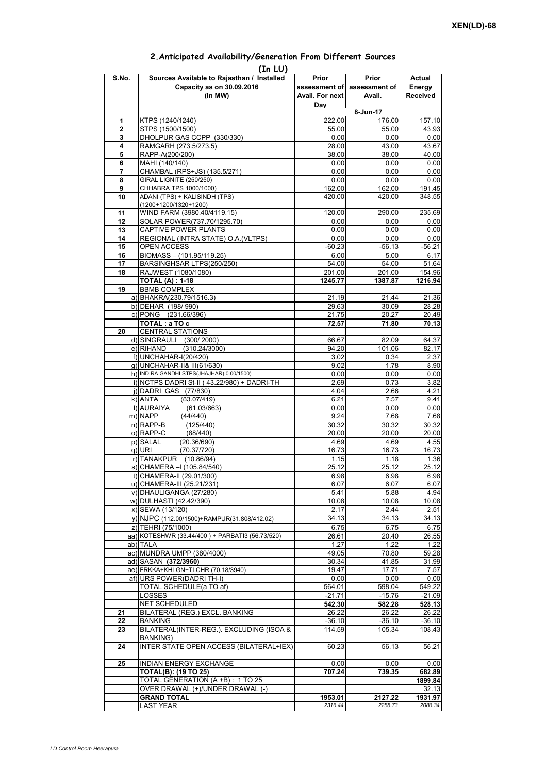## **Prior assessment of Avail. For next Day Prior assessment of Avail. Actual Energy Received 1** KTPS (1240/1240) 222.00 176.00 157.10 **2** STPS (1500/1500) 55.00 55.00 43.93 **3** DHOLPUR GAS CCPP (330/330) **4** RAMGARH (273.5/273.5) 28.00 43.00 43.67<br> **5** RAPP-A(200/200) 28.00 38.00 40.00 **5** RAPP-A(200/200) **38.00** 38.00<br> **6** MAHI (140/140) 0.00 **6** MAHI (140/140) 0.00 0.00 0.00 **7** CHAMBAL (RPS+JS) (135.5/271) 0.00 0.00 0.00 0.00 **8** GIRAL LIGNITE (250/250) 0.00 0.00 0.00 0.00<br> **9** CHHABRA TPS 1000/1000) 162.00 162.00 191.45 **9** CHHABRA TPS 1000/1000) **10** ADANI (TPS) + KALISINDH (TPS) (1200+1200/1320+1200) 420.00 420.00 348.55 11 | WIND FARM (3980.40/4119.15)  $\vert$  120.00 290.00 235.69 12 SOLAR POWER(737.70/1295.70) 0.00 0.00 0.00 0.00 **13** CAPTIVE POWER PLANTS 0.00 0.00 0.00 0.00 **14** REGIONAL (INTRA STATE) O.A.(VLTPS) 0.00 0.00 0.00 0.00 0.00 15 OPEN ACCESS -60.23 -56.13 -56.21<br>16 BIOMASS – (101.95/119.25) -6.00 -6.00 -6.17 **BIOMASS – (101.95/119.25)** 17 BARSINGHSAR LTPS(250/250) 54.00 54.00 51.64 **18** RAJWEST (1080/1080) 201.00 201.00 154.96 **TOTAL (A) : 1-18 1245.77 1387.87 1216.94 19** BBMB COMPLEX a) BHAKRA(230.79/1516.3) 21.19 21.19 21.44 21.36<br>b) DEHAR (198/990) 28.28 b) DEHAR (198/ 990) c) PONG (231.66/396) 21.75 20.27 20.49<br> **TOTAL**: a TO c 70.13 **TOTAL : a TO c** 72.57 71.80 70.13 **20** CENTRAL STATIONS d) SINGRAULI (300/2000) 66.67 82.09 64.37<br>e) RIHAND (310.24/3000) 94.20 101.06 82.17  $(310.24/3000)$ f) UNCHAHAR-I(20/420) 3.02 0.34 2.37<br>g) UNCHAHAR-I(20/420) 3.02 1.78 8.90 g) UNCHAHAR-II& III(61/630) 9.02 8.02 h) INDIRA GANDHI STPS(JHAJHAR) 0.00/1500) 0.00 0.00 0.00 0.00 0.00 0.00 i) NCTPS DADRI St-II ( 43.22/980) + DADRI-TH 2.69 0.73 3.82 j) DADRI GAS (77/830) 4.04 2.66 4.21 k)|ANTA (83.07/419) 6.21 7.57 9.41<br>i)|AURAIYA (61.03/663) 0.00 0.00 0.00 0.00 **(In LU) S.No. Sources Available to Rajasthan / Installed Capacity as on 30.09.2016 (In MW) 8-Jun-17** ANTA (83.07/419)6.217.579.41l) AURAIYA (61.03/663) 0.00 0.00 0.00 m) NAPP (44/440) 9.24 7.68 7.68 n) RAPP-B (125/440) 30.32 30.32 30.32 o) RAPP-C (88/440) 20.00 20.00 20.00 p) SALAL (20.36/690) 4.69 4.69 4.55<br>q) URI (70.37/720) 4.673 16.73 16.73 q) URI (70.37/720) 16.73 16.73 16.73 r) TANAKPUR (10.86/94) 1.15 1.15 1.18 1.36<br>s) CHAMERA – (105.84/540) 25.12 25.12 25.12 25.12  $\overline{s}$ ) CHAMERA –I (105.84/540) t) CHAMERA-II (29.01/300) 6.98 6.98 6.98 6.98 u) CHAMERA-III (25.21/231) 6.07 6.07 6.07 v) DHAULIGANGA (27/280) 5.41 5.88 4.94 w) DULHASTI (42.42/390) 10.08 10.08 10.08 10.08 10.08 x) SEWA (13/120) 2.17 2.44 2.51 y) NJPC (112.00/1500)+RAMPUR(31.808/412.02) z) TEHRI (75/1000) 6.75 6.75 6.75 aa) KOTESHWR (33.44/400) + PARBATI3 (56.73/520) ab)|TALA 1.22 1.22 1.22 ac) MUNDRA UMPP (380/4000) 49.05 70.80 59.28 ad) SASAN **(372/3960)** 30.34 41.85 31.99<br>ae) FRKKA+KHLGN+TLCHR (70.18/3940) 49.47 17.71 7.57 ae) FRKKA+KHLGN+TLCHR (70.18/3940) af) URS POWER(DADRI TH-I) 0.00 0.00 0.00 TOTAL SCHEDULE(a TO af) 564.01 598.04 549.22 LOSSES -21.71 -15.76 -21.09 NET SCHEDULED **542.30 582.28 528.13 21** BILATERAL (REG.) EXCL. BANKING 26.22 26.22 26.22 **22** BANKING -36.10 -36.10 -36.10 -36.10 -36.10 **23** BILATERAL(INTER-REG.). EXCLUDING (ISOA & BANKING) 114.59 105.34 108.43 **24** INTER STATE OPEN ACCESS (BILATERAL+IEX) 60.23 56.13 56.21 **25 INDIAN ENERGY EXCHANGE 0.000 0.000 0.000 0.000** 0.00 **TOTAL(B): (19 TO 25) 707.24 739.35 682.89** TOTAL GENERATION (A +B) : 1 TO 25 **1899.84**<br>
OVER DRAWAL (+)/UNDER DRAWAL (-) 232.13 OVER DRAWAL (+)/UNDER DRAWAL (-) **GRAND TOTAL 1953.01** 2127.22 1931.97 LAST YEAR *2316.44 2258.73 2088.34*

## **2.Anticipated Availability/Generation From Different Sources**